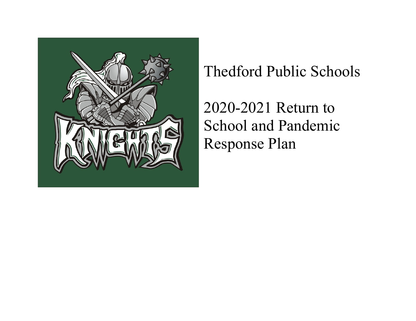

Thedford Public Schools

2020-2021 Return to School and Pandemic Response Plan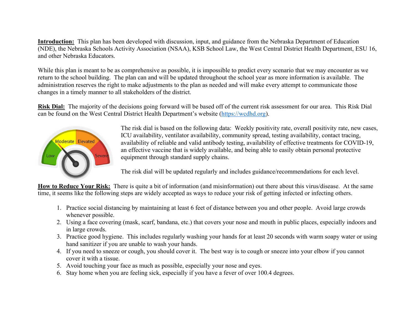**Introduction:** This plan has been developed with discussion, input, and guidance from the Nebraska Department of Education (NDE), the Nebraska Schools Activity Association (NSAA), KSB School Law, the West Central District Health Department, ESU 16, and other Nebraska Educators.

While this plan is meant to be as comprehensive as possible, it is impossible to predict every scenario that we may encounter as we return to the school building. The plan can and will be updated throughout the school year as more information is available. The administration reserves the right to make adjustments to the plan as needed and will make every attempt to communicate those changes in a timely manner to all stakeholders of the district.

**Risk Dial:** The majority of the decisions going forward will be based off of the current risk assessment for our area. This Risk Dial can be found on the West Central District Health Department's website (https://wcdhd.org).



The risk dial is based on the following data: Weekly positivity rate, overall positivity rate, new cases, ICU availability, ventilator availability, community spread, testing availability, contact tracing, availability of reliable and valid antibody testing, availability of effective treatments for COVID-19, an effective vaccine that is widely available, and being able to easily obtain personal protective equipment through standard supply chains.

The risk dial will be updated regularly and includes guidance/recommendations for each level.

**How to Reduce Your Risk:** There is quite a bit of information (and misinformation) out there about this virus/disease. At the same time, it seems like the following steps are widely accepted as ways to reduce your risk of getting infected or infecting others.

- 1. Practice social distancing by maintaining at least 6 feet of distance between you and other people. Avoid large crowds whenever possible.
- 2. Using a face covering (mask, scarf, bandana, etc.) that covers your nose and mouth in public places, especially indoors and in large crowds.
- 3. Practice good hygiene. This includes regularly washing your hands for at least 20 seconds with warm soapy water or using hand sanitizer if you are unable to wash your hands.
- 4. If you need to sneeze or cough, you should cover it. The best way is to cough or sneeze into your elbow if you cannot cover it with a tissue.
- 5. Avoid touching your face as much as possible, especially your nose and eyes.
- 6. Stay home when you are feeling sick, especially if you have a fever of over 100.4 degrees.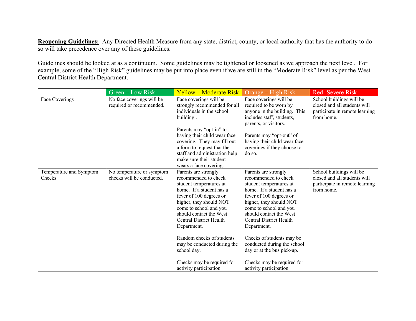**Reopening Guidelines:** Any Directed Health Measure from any state, district, county, or local authority that has the authority to do so will take precedence over any of these guidelines.

Guidelines should be looked at as a continuum. Some guidelines may be tightened or loosened as we approach the next level. For example, some of the "High Risk" guidelines may be put into place even if we are still in the "Moderate Risk" level as per the West Central District Health Department.

|                                   | Green – Low Risk                                       | <b>Yellow – Moderate Risk</b>                                                                                                                                                                                                                                                                                                                                                                | Orange – High Risk                                                                                                                                                                                                                                                                                                                                                                                                 | <b>Red-Severe Risk</b>                                                                                   |
|-----------------------------------|--------------------------------------------------------|----------------------------------------------------------------------------------------------------------------------------------------------------------------------------------------------------------------------------------------------------------------------------------------------------------------------------------------------------------------------------------------------|--------------------------------------------------------------------------------------------------------------------------------------------------------------------------------------------------------------------------------------------------------------------------------------------------------------------------------------------------------------------------------------------------------------------|----------------------------------------------------------------------------------------------------------|
| Face Coverings                    | No face coverings will be<br>required or recommended.  | Face coverings will be<br>strongly recommended for all<br>individuals in the school<br>building                                                                                                                                                                                                                                                                                              | Face coverings will be<br>required to be worn by<br>anyone in the building. This<br>includes staff, students,<br>parents, or visitors.                                                                                                                                                                                                                                                                             | School buildings will be<br>closed and all students will<br>participate in remote learning<br>from home. |
|                                   |                                                        | Parents may "opt-in" to<br>having their child wear face<br>covering. They may fill out<br>a form to request that the<br>staff and administration help<br>make sure their student<br>wears a face covering.                                                                                                                                                                                   | Parents may "opt-out" of<br>having their child wear face<br>coverings if they choose to<br>do so.                                                                                                                                                                                                                                                                                                                  |                                                                                                          |
| Temperature and Symptom<br>Checks | No temperature or symptom<br>checks will be conducted. | Parents are strongly<br>recommended to check<br>student temperatures at<br>home. If a student has a<br>fever of 100 degrees or<br>higher, they should NOT<br>come to school and you<br>should contact the West<br>Central District Health<br>Department.<br>Random checks of students<br>may be conducted during the<br>school day.<br>Checks may be required for<br>activity participation. | Parents are strongly<br>recommended to check<br>student temperatures at<br>home. If a student has a<br>fever of 100 degrees or<br>higher, they should NOT<br>come to school and you<br>should contact the West<br><b>Central District Health</b><br>Department.<br>Checks of students may be<br>conducted during the school<br>day or at the bus pick-up.<br>Checks may be required for<br>activity participation. | School buildings will be<br>closed and all students will<br>participate in remote learning<br>from home. |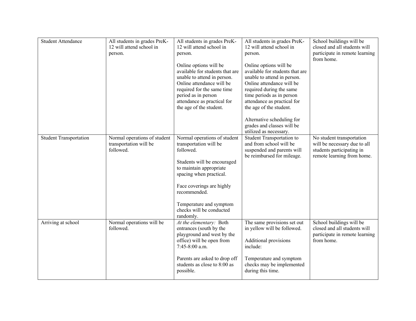| <b>Student Attendance</b>     | All students in grades PreK-<br>12 will attend school in<br>person. | All students in grades PreK-<br>12 will attend school in<br>person.<br>Online options will be<br>available for students that are<br>unable to attend in person.<br>Online attendance will be<br>required for the same time<br>period as in person<br>attendance as practical for | All students in grades PreK-<br>12 will attend school in<br>person.<br>Online options will be<br>available for students that are<br>unable to attend in person.<br>Online attendance will be<br>required during the same<br>time periods as in person<br>attendance as practical for | School buildings will be<br>closed and all students will<br>participate in remote learning<br>from home.             |
|-------------------------------|---------------------------------------------------------------------|----------------------------------------------------------------------------------------------------------------------------------------------------------------------------------------------------------------------------------------------------------------------------------|--------------------------------------------------------------------------------------------------------------------------------------------------------------------------------------------------------------------------------------------------------------------------------------|----------------------------------------------------------------------------------------------------------------------|
|                               |                                                                     | the age of the student.                                                                                                                                                                                                                                                          | the age of the student.<br>Alternative scheduling for<br>grades and classes will be<br>utilized as necessary.                                                                                                                                                                        |                                                                                                                      |
| <b>Student Transportation</b> | Normal operations of student<br>transportation will be<br>followed. | Normal operations of student<br>transportation will be<br>followed.<br>Students will be encouraged<br>to maintain appropriate<br>spacing when practical.<br>Face coverings are highly<br>recommended.<br>Temperature and symptom<br>checks will be conducted<br>randomly.        | Student Transportation to<br>and from school will be<br>suspended and parents will<br>be reimbursed for mileage.                                                                                                                                                                     | No student transportation<br>will be necessary due to all<br>students participating in<br>remote learning from home. |
| Arriving at school            | Normal operations will be<br>followed.                              | At the elementary: Both<br>entrances (south by the<br>playground and west by the<br>office) will be open from<br>7:45-8:00 a.m.<br>Parents are asked to drop off<br>students as close to 8:00 as<br>possible.                                                                    | The same provisions set out<br>in yellow will be followed.<br>Additional provisions<br>include:<br>Temperature and symptom<br>checks may be implemented<br>during this time.                                                                                                         | School buildings will be<br>closed and all students will<br>participate in remote learning<br>from home.             |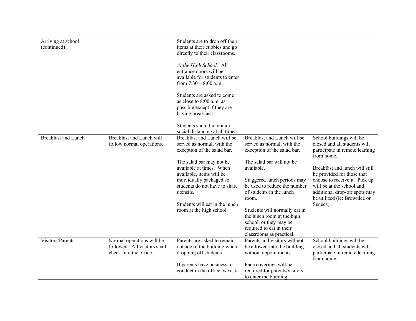| Arriving at school<br>(continued) |                                                           | Students are to drop off their<br>items at their cubbies and go |                               |                                              |
|-----------------------------------|-----------------------------------------------------------|-----------------------------------------------------------------|-------------------------------|----------------------------------------------|
|                                   |                                                           | directly to their classrooms.                                   |                               |                                              |
|                                   |                                                           | At the High School: All                                         |                               |                                              |
|                                   |                                                           | entrance doors will be                                          |                               |                                              |
|                                   |                                                           | available for students to enter                                 |                               |                                              |
|                                   |                                                           | from $7:30 - 8:00$ a.m.                                         |                               |                                              |
|                                   |                                                           | Students are asked to come                                      |                               |                                              |
|                                   |                                                           | as close to 8:00 a.m. as                                        |                               |                                              |
|                                   |                                                           | possible except if they are                                     |                               |                                              |
|                                   |                                                           | having breakfast.                                               |                               |                                              |
|                                   |                                                           | Students should maintain                                        |                               |                                              |
|                                   |                                                           | social distancing at all times.                                 |                               |                                              |
| <b>Breakfast and Lunch</b>        | Breakfast and Lunch will                                  | Breakfast and Lunch will be                                     | Breakfast and Lunch will be   | School buildings will be                     |
|                                   | follow normal operations.                                 | served as normal, with the                                      | served as normal, with the    | closed and all students will                 |
|                                   |                                                           | exception of the salad bar.                                     | exception of the salad bar.   | participate in remote learning               |
|                                   |                                                           |                                                                 |                               | from home.                                   |
|                                   |                                                           | The salad bar may not be                                        | The salad bar will not be     |                                              |
|                                   |                                                           | available at times. When                                        | available.                    | Breakfast and lunch will still               |
|                                   |                                                           | available, items will be                                        |                               | be provided for those that                   |
|                                   |                                                           | individually packaged so                                        | Staggered lunch periods may   | choose to receive it. Pick up                |
|                                   |                                                           | students do not have to share                                   | be used to reduce the number  | will be at the school and                    |
|                                   |                                                           | utensils.                                                       | of students in the lunch      | additional drop-off spots may                |
|                                   |                                                           |                                                                 | room.                         | be utilized (ie: Brownlee or                 |
|                                   |                                                           | Students will eat in the lunch                                  |                               | Seneca).                                     |
|                                   |                                                           | room at the high school.                                        | Students will normally eat in |                                              |
|                                   |                                                           |                                                                 | the lunch room at the high    |                                              |
|                                   |                                                           |                                                                 | school, or they may be        |                                              |
|                                   |                                                           |                                                                 | required to eat in their      |                                              |
|                                   |                                                           |                                                                 | classrooms as practical.      |                                              |
| Visitors/Parents                  | Normal operations will be<br>followed. All visitors shall | Parents are asked to remain                                     | Parents and visitors will not | School buildings will be                     |
|                                   |                                                           | outside of the building when                                    | be allowed into the building  | closed and all students will                 |
|                                   | check into the office.                                    | dropping off students.                                          | without appointments.         | participate in remote learning<br>from home. |
|                                   |                                                           | If parents have business to                                     | Face coverings will be        |                                              |
|                                   |                                                           | conduct in the office, we ask                                   | required for parents/visitors |                                              |
|                                   |                                                           |                                                                 | to enter the building.        |                                              |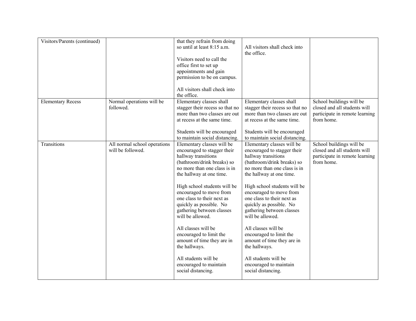| Visitors/Parents (continued) |                                                   | that they refrain from doing<br>so until at least 8:15 a.m.<br>Visitors need to call the<br>office first to set up<br>appointments and gain<br>permission to be on campus.<br>All visitors shall check into<br>the office.                                                                                                                                                                                                                                                                                               | All visitors shall check into<br>the office.                                                                                                                                                                                                                                                                                                                                                                                                                                                                             |                                                                                                          |
|------------------------------|---------------------------------------------------|--------------------------------------------------------------------------------------------------------------------------------------------------------------------------------------------------------------------------------------------------------------------------------------------------------------------------------------------------------------------------------------------------------------------------------------------------------------------------------------------------------------------------|--------------------------------------------------------------------------------------------------------------------------------------------------------------------------------------------------------------------------------------------------------------------------------------------------------------------------------------------------------------------------------------------------------------------------------------------------------------------------------------------------------------------------|----------------------------------------------------------------------------------------------------------|
| <b>Elementary Recess</b>     | Normal operations will be<br>followed.            | Elementary classes shall<br>stagger their recess so that no<br>more than two classes are out<br>at recess at the same time.<br>Students will be encouraged<br>to maintain social distancing.                                                                                                                                                                                                                                                                                                                             | Elementary classes shall<br>stagger their recess so that no<br>more than two classes are out<br>at recess at the same time.<br>Students will be encouraged<br>to maintain social distancing.                                                                                                                                                                                                                                                                                                                             | School buildings will be<br>closed and all students will<br>participate in remote learning<br>from home. |
| Transitions                  | All normal school operations<br>will be followed. | Elementary classes will be<br>encouraged to stagger their<br>hallway transitions<br>(bathroom/drink breaks) so<br>no more than one class is in<br>the hallway at one time.<br>High school students will be<br>encouraged to move from<br>one class to their next as<br>quickly as possible. No<br>gathering between classes<br>will be allowed.<br>All classes will be<br>encouraged to limit the<br>amount of time they are in<br>the hallways.<br>All students will be<br>encouraged to maintain<br>social distancing. | Elementary classes will be<br>encouraged to stagger their<br>hallway transitions<br>(bathroom/drink breaks) so<br>no more than one class is in<br>the hallway at one time.<br>High school students will be<br>encouraged to move from<br>one class to their next as<br>quickly as possible. No<br>gathering between classes<br>will be allowed.<br>All classes will be<br>encouraged to limit the<br>amount of time they are in<br>the hallways.<br>All students will be<br>encouraged to maintain<br>social distancing. | School buildings will be<br>closed and all students will<br>participate in remote learning<br>from home. |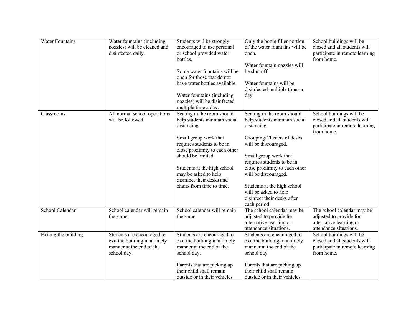| <b>Water Fountains</b> | Water fountains (including<br>nozzles) will be cleaned and<br>disinfected daily.                       | Students will be strongly<br>encouraged to use personal<br>or school provided water<br>bottles.<br>Some water fountains will be<br>open for those that do not<br>have water bottles available.<br>Water fountains (including<br>nozzles) will be disinfected<br>multiple time a day.                      | Only the bottle filler portion<br>of the water fountains will be<br>open.<br>Water fountain nozzles will<br>be shut off.<br>Water fountains will be<br>disinfected multiple times a<br>day.                                                                                                                                                             | School buildings will be<br>closed and all students will<br>participate in remote learning<br>from home.   |
|------------------------|--------------------------------------------------------------------------------------------------------|-----------------------------------------------------------------------------------------------------------------------------------------------------------------------------------------------------------------------------------------------------------------------------------------------------------|---------------------------------------------------------------------------------------------------------------------------------------------------------------------------------------------------------------------------------------------------------------------------------------------------------------------------------------------------------|------------------------------------------------------------------------------------------------------------|
| Classrooms             | All normal school operations<br>will be followed.                                                      | Seating in the room should<br>help students maintain social<br>distancing.<br>Small group work that<br>requires students to be in<br>close proximity to each other<br>should be limited.<br>Students at the high school<br>may be asked to help<br>disinfect their desks and<br>chairs from time to time. | Seating in the room should<br>help students maintain social<br>distancing.<br>Grouping/Clusters of desks<br>will be discouraged.<br>Small group work that<br>requires students to be in<br>close proximity to each other<br>will be discouraged.<br>Students at the high school<br>will be asked to help<br>disinfect their desks after<br>each period. | School buildings will be<br>closed and all students will<br>participate in remote learning<br>from home.   |
| School Calendar        | School calendar will remain<br>the same.                                                               | School calendar will remain<br>the same.                                                                                                                                                                                                                                                                  | The school calendar may be<br>adjusted to provide for<br>alternative learning or<br>attendance situations.                                                                                                                                                                                                                                              | The school calendar may be<br>adjusted to provide for<br>alternative learning or<br>attendance situations. |
| Exiting the building   | Students are encouraged to<br>exit the building in a timely<br>manner at the end of the<br>school day. | Students are encouraged to<br>exit the building in a timely<br>manner at the end of the<br>school day.<br>Parents that are picking up<br>their child shall remain<br>outside or in their vehicles                                                                                                         | Students are encouraged to<br>exit the building in a timely<br>manner at the end of the<br>school day.<br>Parents that are picking up<br>their child shall remain<br>outside or in their vehicles                                                                                                                                                       | School buildings will be<br>closed and all students will<br>participate in remote learning<br>from home.   |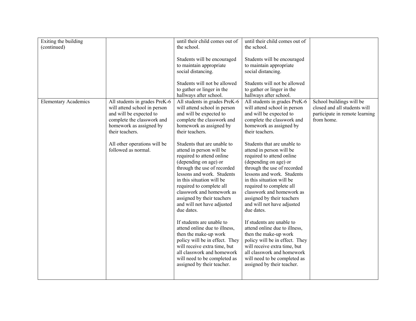| Exiting the building        |                               | until their child comes out of | until their child comes out of |                                |
|-----------------------------|-------------------------------|--------------------------------|--------------------------------|--------------------------------|
| (continued)                 |                               | the school.                    | the school.                    |                                |
|                             |                               |                                |                                |                                |
|                             |                               | Students will be encouraged    | Students will be encouraged    |                                |
|                             |                               | to maintain appropriate        | to maintain appropriate        |                                |
|                             |                               | social distancing.             | social distancing.             |                                |
|                             |                               |                                |                                |                                |
|                             |                               | Students will not be allowed   | Students will not be allowed   |                                |
|                             |                               | to gather or linger in the     | to gather or linger in the     |                                |
|                             |                               | hallways after school.         | hallways after school.         |                                |
| <b>Elementary Academics</b> | All students in grades PreK-6 | All students in grades PreK-6  | All students in grades PreK-6  | School buildings will be       |
|                             | will attend school in person  | will attend school in person   | will attend school in person   | closed and all students will   |
|                             | and will be expected to       | and will be expected to        | and will be expected to        | participate in remote learning |
|                             | complete the classwork and    | complete the classwork and     | complete the classwork and     | from home.                     |
|                             | homework as assigned by       | homework as assigned by        | homework as assigned by        |                                |
|                             | their teachers.               | their teachers.                | their teachers.                |                                |
|                             |                               |                                |                                |                                |
|                             | All other operations will be  | Students that are unable to    | Students that are unable to    |                                |
|                             | followed as normal.           | attend in person will be       | attend in person will be       |                                |
|                             |                               | required to attend online      | required to attend online      |                                |
|                             |                               | (depending on age) or          | (depending on age) or          |                                |
|                             |                               | through the use of recorded    | through the use of recorded    |                                |
|                             |                               | lessons and work. Students     | lessons and work. Students     |                                |
|                             |                               | in this situation will be      | in this situation will be      |                                |
|                             |                               | required to complete all       | required to complete all       |                                |
|                             |                               | classwork and homework as      | classwork and homework as      |                                |
|                             |                               | assigned by their teachers     | assigned by their teachers     |                                |
|                             |                               | and will not have adjusted     | and will not have adjusted     |                                |
|                             |                               | due dates.                     | due dates.                     |                                |
|                             |                               |                                |                                |                                |
|                             |                               | If students are unable to      | If students are unable to      |                                |
|                             |                               | attend online due to illness,  | attend online due to illness,  |                                |
|                             |                               | then the make-up work          | then the make-up work          |                                |
|                             |                               | policy will be in effect. They | policy will be in effect. They |                                |
|                             |                               | will receive extra time, but   | will receive extra time, but   |                                |
|                             |                               | all classwork and homework     | all classwork and homework     |                                |
|                             |                               | will need to be completed as   | will need to be completed as   |                                |
|                             |                               | assigned by their teacher.     | assigned by their teacher.     |                                |
|                             |                               |                                |                                |                                |
|                             |                               |                                |                                |                                |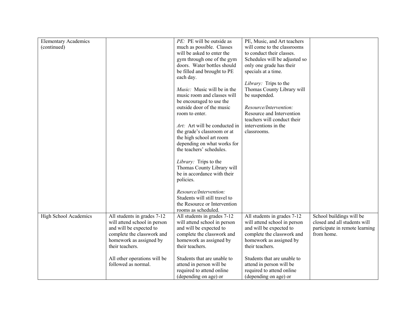| <b>Elementary Academics</b> |                              | PE: PE will be outside as     | PE, Music, and Art teachers   |                                |
|-----------------------------|------------------------------|-------------------------------|-------------------------------|--------------------------------|
| (continued)                 |                              | much as possible. Classes     | will come to the classrooms   |                                |
|                             |                              | will be asked to enter the    | to conduct their classes.     |                                |
|                             |                              | gym through one of the gym    | Schedules will be adjusted so |                                |
|                             |                              | doors. Water bottles should   | only one grade has their      |                                |
|                             |                              | be filled and brought to PE   | specials at a time.           |                                |
|                             |                              | each day.                     |                               |                                |
|                             |                              |                               | Library: Trips to the         |                                |
|                             |                              | Music: Music will be in the   | Thomas County Library will    |                                |
|                             |                              | music room and classes will   | be suspended.                 |                                |
|                             |                              | be encouraged to use the      |                               |                                |
|                             |                              | outside door of the music     | Resource/Intervention:        |                                |
|                             |                              |                               | Resource and Intervention     |                                |
|                             |                              | room to enter.                |                               |                                |
|                             |                              |                               | teachers will conduct their   |                                |
|                             |                              | Art: Art will be conducted in | interventions in the          |                                |
|                             |                              | the grade's classroom or at   | classrooms.                   |                                |
|                             |                              | the high school art room      |                               |                                |
|                             |                              | depending on what works for   |                               |                                |
|                             |                              | the teachers' schedules.      |                               |                                |
|                             |                              |                               |                               |                                |
|                             |                              | Library: Trips to the         |                               |                                |
|                             |                              | Thomas County Library will    |                               |                                |
|                             |                              | be in accordance with their   |                               |                                |
|                             |                              | policies.                     |                               |                                |
|                             |                              |                               |                               |                                |
|                             |                              | Resource/Intervention:        |                               |                                |
|                             |                              | Students will still travel to |                               |                                |
|                             |                              | the Resource or Intervention  |                               |                                |
|                             |                              | rooms as scheduled.           |                               |                                |
| High School Academics       | All students in grades 7-12  | All students in grades 7-12   | All students in grades 7-12   | School buildings will be       |
|                             | will attend school in person | will attend school in person  | will attend school in person  | closed and all students will   |
|                             | and will be expected to      | and will be expected to       | and will be expected to       | participate in remote learning |
|                             | complete the classwork and   | complete the classwork and    | complete the classwork and    | from home.                     |
|                             | homework as assigned by      | homework as assigned by       | homework as assigned by       |                                |
|                             | their teachers.              | their teachers.               | their teachers.               |                                |
|                             |                              |                               |                               |                                |
|                             | All other operations will be | Students that are unable to   | Students that are unable to   |                                |
|                             | followed as normal.          | attend in person will be      | attend in person will be      |                                |
|                             |                              | required to attend online     | required to attend online     |                                |
|                             |                              | (depending on age) or         | (depending on age) or         |                                |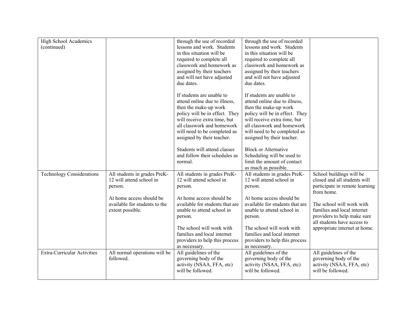| High School Academics              |                               | through the use of recorded     | through the use of recorded     |                                |
|------------------------------------|-------------------------------|---------------------------------|---------------------------------|--------------------------------|
| (continued)                        |                               | lessons and work. Students      | lessons and work. Students      |                                |
|                                    |                               | in this situation will be       | in this situation will be       |                                |
|                                    |                               |                                 |                                 |                                |
|                                    |                               | required to complete all        | required to complete all        |                                |
|                                    |                               | classwork and homework as       | classwork and homework as       |                                |
|                                    |                               | assigned by their teachers      | assigned by their teachers      |                                |
|                                    |                               | and will not have adjusted      | and will not have adjusted      |                                |
|                                    |                               | due dates.                      | due dates.                      |                                |
|                                    |                               | If students are unable to       | If students are unable to       |                                |
|                                    |                               | attend online due to illness,   | attend online due to illness,   |                                |
|                                    |                               | then the make-up work           | then the make-up work           |                                |
|                                    |                               | policy will be in effect. They  | policy will be in effect. They  |                                |
|                                    |                               | will receive extra time, but    | will receive extra time, but    |                                |
|                                    |                               | all classwork and homework      | all classwork and homework      |                                |
|                                    |                               | will need to be completed as    | will need to be completed as    |                                |
|                                    |                               | assigned by their teacher.      | assigned by their teacher.      |                                |
|                                    |                               |                                 |                                 |                                |
|                                    |                               | Students will attend classes    | <b>Block or Alternative</b>     |                                |
|                                    |                               | and follow their schedules as   | Scheduling will be used to      |                                |
|                                    |                               | normal.                         | limit the amount of contact     |                                |
|                                    |                               |                                 | as much as possible.            |                                |
| <b>Technology Considerations</b>   | All students in grades PreK-  | All students in grades PreK-    | All students in grades PreK-    | School buildings will be       |
|                                    | 12 will attend school in      | 12 will attend school in        | 12 will attend school in        | closed and all students will   |
|                                    | person.                       | person.                         | person.                         | participate in remote learning |
|                                    |                               |                                 |                                 | from home.                     |
|                                    | At home access should be      | At home access should be        | At home access should be        |                                |
|                                    | available for students to the | available for students that are | available for students that are | The school will work with      |
|                                    | extent possible.              | unable to attend school in      | unable to attend school in      | families and local internet    |
|                                    |                               | person.                         | person.                         | providers to help make sure    |
|                                    |                               |                                 |                                 | all students have access to    |
|                                    |                               | The school will work with       | The school will work with       | appropriate internet at home.  |
|                                    |                               | families and local internet     | families and local internet     |                                |
|                                    |                               | providers to help this process  | providers to help this process  |                                |
|                                    |                               | as necessary.                   | as necessary.                   |                                |
| <b>Extra-Curricular Activities</b> | All normal operations will be | All guidelines of the           | All guidelines of the           | All guidelines of the          |
|                                    | followed.                     | governing body of the           | governing body of the           | governing body of the          |
|                                    |                               | activity (NSAA, FFA, etc)       | activity (NSAA, FFA, etc)       | activity (NSAA, FFA, etc)      |
|                                    |                               | will be followed.               | will be followed.               | will be followed.              |
|                                    |                               |                                 |                                 |                                |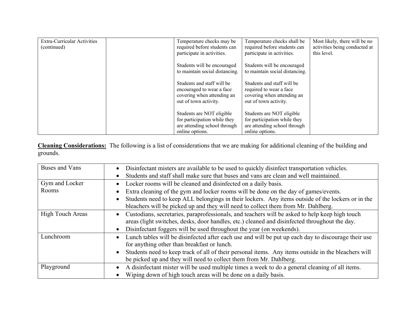| Extra-Curricular Activities<br>(continued) | Temperature checks may be<br>required before students can<br>participate in activities.                        | Temperature checks shall be<br>required before students can<br>participate in activities.                    | Most likely, there will be no<br>activities being conducted at<br>this level. |
|--------------------------------------------|----------------------------------------------------------------------------------------------------------------|--------------------------------------------------------------------------------------------------------------|-------------------------------------------------------------------------------|
|                                            | Students will be encouraged<br>to maintain social distancing.                                                  | Students will be encouraged<br>to maintain social distancing.                                                |                                                                               |
|                                            | Students and staff will be<br>encouraged to wear a face<br>covering when attending an<br>out of town activity. | Students and staff will be<br>required to wear a face<br>covering when attending an<br>out of town activity. |                                                                               |
|                                            | Students are NOT eligible<br>for participation while they<br>are attending school through<br>online options.   | Students are NOT eligible<br>for participation while they<br>are attending school through<br>online options. |                                                                               |

**Cleaning Considerations:** The following is a list of considerations that we are making for additional cleaning of the building and grounds.

| Buses and Vans   | Disinfectant misters are available to be used to quickly disinfect transportation vehicles.<br>$\bullet$                                                                                                     |
|------------------|--------------------------------------------------------------------------------------------------------------------------------------------------------------------------------------------------------------|
|                  | Students and staff shall make sure that buses and vans are clean and well maintained.<br>$\bullet$                                                                                                           |
| Gym and Locker   | Locker rooms will be cleaned and disinfected on a daily basis.<br>$\bullet$                                                                                                                                  |
| Rooms            | Extra cleaning of the gym and locker rooms will be done on the day of games/events.<br>$\bullet$                                                                                                             |
|                  | Students need to keep ALL belongings in their lockers. Any items outside of the lockers or in the<br>$\bullet$<br>bleachers will be picked up and they will need to collect them from Mr. Dahlberg.          |
|                  |                                                                                                                                                                                                              |
| High Touch Areas | Custodians, secretaries, paraprofessionals, and teachers will be asked to help keep high touch<br>$\bullet$<br>areas (light switches, desks, door handles, etc.) cleaned and disinfected throughout the day. |
|                  | Disinfectant foggers will be used throughout the year (on weekends).<br>$\bullet$                                                                                                                            |
| Lunchroom        | Lunch tables will be disinfected after each use and will be put up each day to discourage their use<br>$\bullet$                                                                                             |
|                  | for anything other than breakfast or lunch.                                                                                                                                                                  |
|                  | Students need to keep track of all of their personal items. Any items outside in the bleachers will<br>$\bullet$                                                                                             |
|                  | be picked up and they will need to collect them from Mr. Dahlberg.                                                                                                                                           |
| Playground       | A disinfectant mister will be used multiple times a week to do a general cleaning of all items.<br>$\bullet$                                                                                                 |
|                  | Wiping down of high touch areas will be done on a daily basis.<br>$\bullet$                                                                                                                                  |